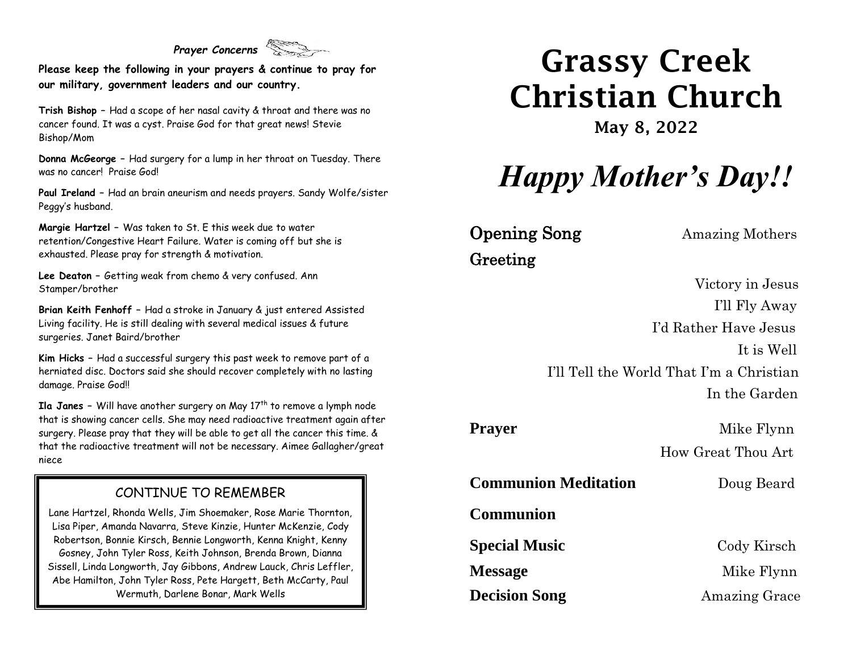#### *Prayer Concerns*

**Please keep the following in your prayers & continue to pray for our military, government leaders and our country.**

**Trish Bishop –** Had a scope of her nasal cavity & throat and there was no cancer found. It was a cyst. Praise God for that great news! Stevie Bishop/Mom

**Donna McGeorge –** Had surgery for a lump in her throat on Tuesday. There was no cancer! Praise God!

**Paul Ireland –** Had an brain aneurism and needs prayers. Sandy Wolfe/sister Peggy's husband.

**Margie Hartzel –** Was taken to St. E this week due to water retention/Congestive Heart Failure. Water is coming off but she is exhausted. Please pray for strength & motivation.

**Lee Deaton –** Getting weak from chemo & very confused. Ann Stamper/brother

**Brian Keith Fenhoff –** Had a stroke in January & just entered Assisted Living facility. He is still dealing with several medical issues & future surgeries. Janet Baird/brother

**Kim Hicks –** Had a successful surgery this past week to remove part of a herniated disc. Doctors said she should recover completely with no lasting damage. Praise God!!

**Ila Janes -** Will have another surgery on May 17<sup>th</sup> to remove a lymph node that is showing cancer cells. She may need radioactive treatment again after surgery. Please pray that they will be able to get all the cancer this time. & that the radioactive treatment will not be necessary. Aimee Gallagher/great niece

#### CONTINUE TO REMEMBER

Lane Hartzel, Rhonda Wells, Jim Shoemaker, Rose Marie Thornton, Lisa Piper, Amanda Navarra, Steve Kinzie, Hunter McKenzie, Cody Robertson, Bonnie Kirsch, Bennie Longworth, Kenna Knight, Kenny Gosney, John Tyler Ross, Keith Johnson, Brenda Brown, Dianna Sissell, Linda Longworth, Jay Gibbons, Andrew Lauck, Chris Leffler, Abe Hamilton, John Tyler Ross, Pete Hargett, Beth McCarty, Paul Wermuth, Darlene Bonar, Mark Wells

# Grassy Creek Christian Church

May 8, 2022

# *Happy Mother's Day!!*

**Opening Song** Amazing Mothers Greeting

 Victory in Jesus I'll Fly Away I'd Rather Have Jesus It is Well I'll Tell the World That I'm a Christian In the Garden

**Prayer** Mike Flynn How Great Thou Art

**Communion Meditation** Doug Beard

**Communion**

**Special Music** Cody Kirsch

**Message** Mike Flynn **Decision Song** Amazing Grace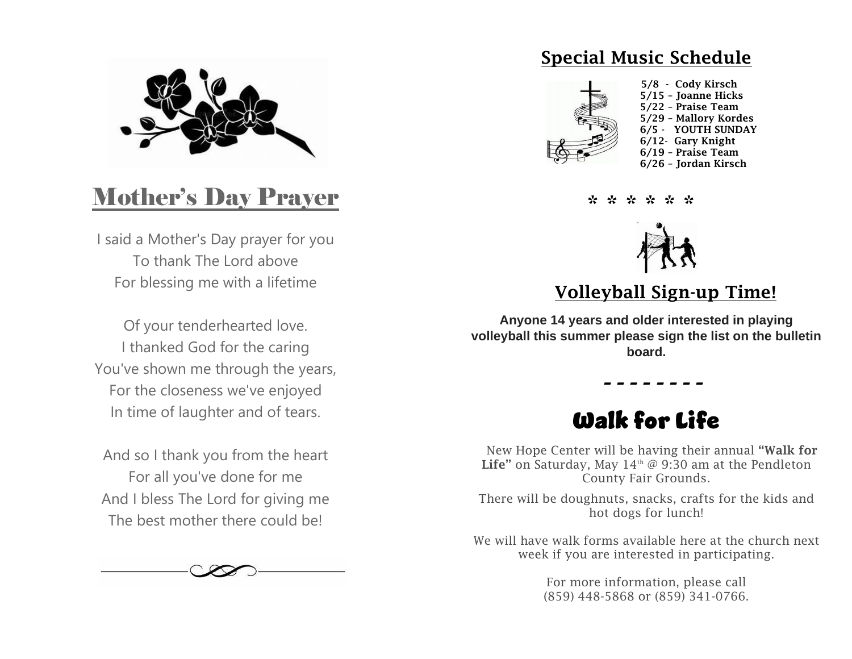

### Mother's Day Prayer

I said a Mother's Day prayer for you To thank The Lord above For blessing me with a lifetime

Of your tenderhearted love. I thanked God for the caring You've shown me through the years, For the closeness we've enjoyed In time of laughter and of tears.

And so I thank you from the heart For all you've done for me And I bless The Lord for giving me The best mother there could be!



### Special Music Schedule



\* \* \* \* \* \*



### Volleyball Sign-up Time!

**Anyone 14 years and older interested in playing volleyball this summer please sign the list on the bulletin board.**

### Walk for Life

 *- - - - - - - -*

New Hope Center will be having their annual "Walk for Life" on Saturday, May  $14<sup>th</sup>$  @ 9:30 am at the Pendleton County Fair Grounds.

There will be doughnuts, snacks, crafts for the kids and hot dogs for lunch!

We will have walk forms available here at the church next week if you are interested in participating.

> For more information, please call (859) 448-5868 or (859) 341-0766.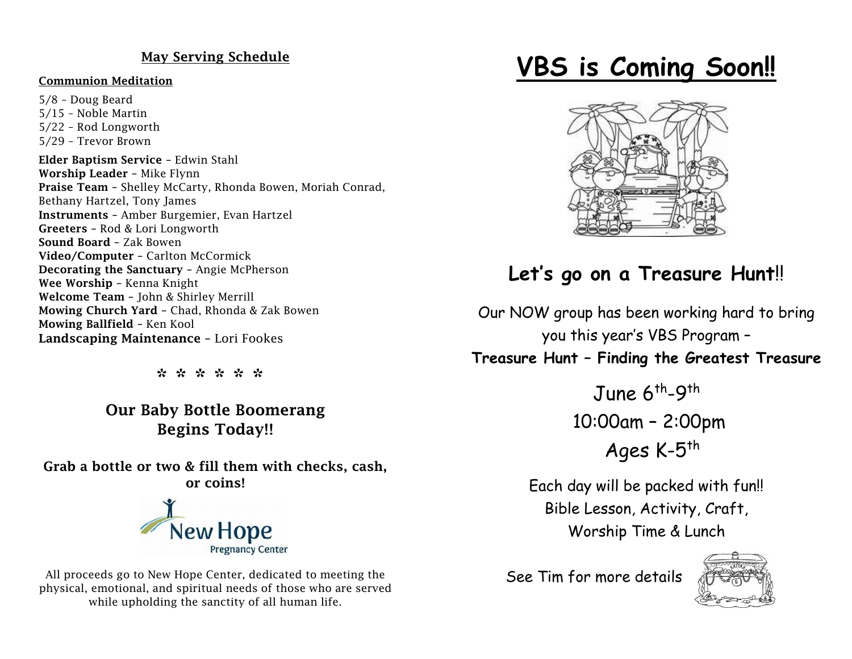#### May Serving Schedule

#### Communion Meditation

5/8 – Doug Beard 5/15 – Noble Martin 5/22 – Rod Longworth 5/29 – Trevor Brown Elder Baptism Service – Edwin Stahl Worship Leader – Mike Flynn Praise Team – Shelley McCarty, Rhonda Bowen, Moriah Conrad, Bethany Hartzel, Tony James Instruments – Amber Burgemier, Evan Hartzel Greeters – Rod & Lori Longworth Sound Board – Zak Bowen Video/Computer – Carlton McCormick Decorating the Sanctuary – Angie McPherson Wee Worship – Kenna Knight Welcome Team – John & Shirley Merrill Mowing Church Yard – Chad, Rhonda & Zak Bowen Mowing Ballfield – Ken Kool Landscaping Maintenance – Lori Fookes

\* \* \* \* \* \*

Our Baby Bottle Boomerang Begins Today!!

Grab a bottle or two & fill them with checks, cash, or coins!



All proceeds go to New Hope Center, dedicated to meeting the physical, emotional, and spiritual needs of those who are served while upholding the sanctity of all human life.

## **VBS is Coming Soon!!**



### **Let's go on a Treasure Hunt**!!

Our NOW group has been working hard to bring you this year's VBS Program –

**Treasure Hunt – Finding the Greatest Treasure**

June 6<sup>th</sup>-9<sup>th</sup> 10:00am – 2:00pm Ages K-5<sup>th</sup>

Each day will be packed with fun!! Bible Lesson, Activity, Craft, Worship Time & Lunch

See Tim for more details